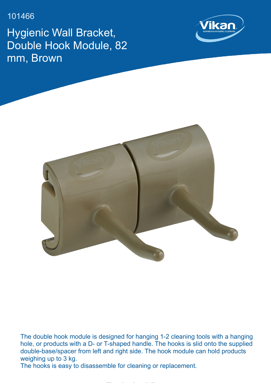101466

Hygienic Wall Bracket, Double Hook Module, 82 mm, Brown





The double hook module is designed for hanging 1-2 cleaning tools with a hanging hole, or products with a D- or T-shaped handle. The hooks is slid onto the supplied double-base/spacer from left and right side. The hook module can hold products weighing up to 3 kg.

**Technical Data**

The hooks is easy to disassemble for cleaning or replacement.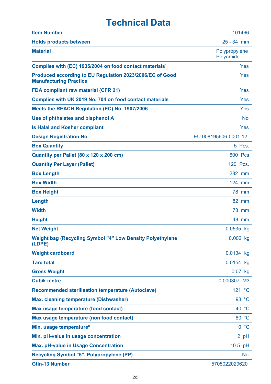## **Technical Data**

| <b>Item Number</b>                                                                        | 101466                     |
|-------------------------------------------------------------------------------------------|----------------------------|
| <b>Holds products between</b>                                                             | $25 - 34$ mm               |
| <b>Material</b>                                                                           | Polypropylene<br>Polyamide |
| Complies with (EC) 1935/2004 on food contact materials <sup>1</sup>                       | Yes                        |
| Produced according to EU Regulation 2023/2006/EC of Good<br><b>Manufacturing Practice</b> | Yes                        |
| <b>FDA compliant raw material (CFR 21)</b>                                                | Yes                        |
| Complies with UK 2019 No. 704 on food contact materials                                   | Yes                        |
| Meets the REACH Regulation (EC) No. 1907/2006                                             | Yes                        |
| Use of phthalates and bisphenol A                                                         | <b>No</b>                  |
| <b>Is Halal and Kosher compliant</b>                                                      | Yes                        |
| <b>Design Registration No.</b>                                                            | EU 008195606-0001-12       |
| <b>Box Quantity</b>                                                                       | 5 Pcs.                     |
| Quantity per Pallet (80 x 120 x 200 cm)                                                   | <b>600 Pcs</b>             |
| <b>Quantity Per Layer (Pallet)</b>                                                        | 120 Pcs.                   |
| <b>Box Length</b>                                                                         | 282 mm                     |
| <b>Box Width</b>                                                                          | 124 mm                     |
| <b>Box Height</b>                                                                         | <b>78 mm</b>               |
| Length                                                                                    | 82 mm                      |
| <b>Width</b>                                                                              | <b>78 mm</b>               |
| <b>Height</b>                                                                             | 48 mm                      |
| <b>Net Weight</b>                                                                         | 0.0535 kg                  |
| <b>Weight bag (Recycling Symbol "4" Low Density Polyethylene</b><br>(LDPE)                | $0.002$ kg                 |
| <b>Weight cardboard</b>                                                                   | $0.0134$ kg                |
| <b>Tare total</b>                                                                         | 0.0154 kg                  |
| <b>Gross Weight</b>                                                                       | $0.07$ kg                  |
| <b>Cubik metre</b>                                                                        | 0.000307 M3                |
| <b>Recommended sterilisation temperature (Autoclave)</b>                                  | 121 °C                     |
| <b>Max. cleaning temperature (Dishwasher)</b>                                             | 93 °C                      |
| Max usage temperature (food contact)                                                      | 40 °C                      |
| Max usage temperature (non food contact)                                                  | 80 °C                      |
| Min. usage temperature <sup>3</sup>                                                       | 0 °C                       |
| Min. pH-value in usage concentration                                                      | 2 pH                       |
| <b>Max. pH-value in Usage Concentration</b>                                               | 10.5 pH                    |
| <b>Recycling Symbol "5", Polypropylene (PP)</b>                                           | <b>No</b>                  |
| <b>Gtin-13 Number</b>                                                                     | 5705022029620              |